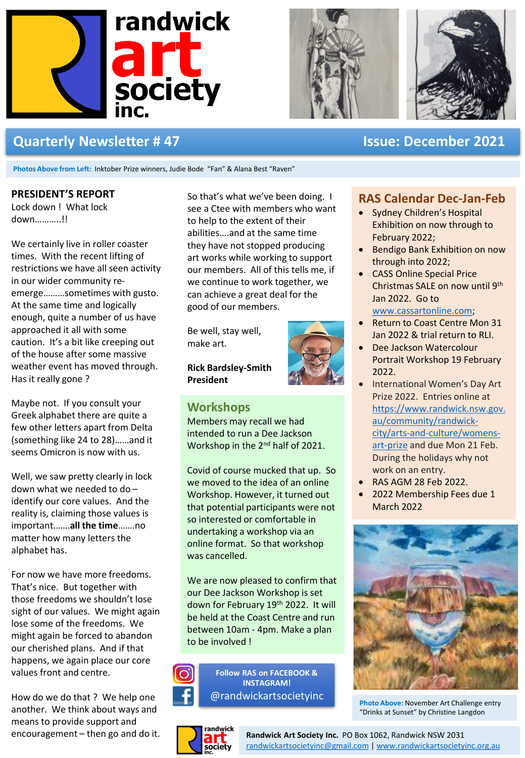





# **Quarterly Newsletter # 47 Issue: December 2021**

**Photos Above from Left:** Inktober Prize winners, Judie Bode "Fan" & Alana Best "Raven"

#### **PRESIDENT'S REPORT**

Lock down ! What lock down………..!!

We certainly live in roller coaster times. With the recent lifting of restrictions we have all seen activity in our wider community reemerge………sometimes with gusto. At the same time and logically enough, quite a number of us have approached it all with some caution. It's a bit like creeping out of the house after some massive weather event has moved through. Has it really gone ?

Maybe not. If you consult your Greek alphabet there are quite a few other letters apart from Delta (something like 24 to 28)……and it seems Omicron is now with us.

Well, we saw pretty clearly in lock down what we needed to do – identify our core values. And the reality is, claiming those values is important…….**all the time**…….no matter how many letters the alphabet has.

For now we have more freedoms. That's nice. But together with those freedoms we shouldn't lose sight of our values. We might again lose some of the freedoms. We might again be forced to abandon our cherished plans. And if that happens, we again place our core values front and centre.

How do we do that ? We help one another. We think about ways and means to provide support and

So that's what we've been doing. I see a Ctee with members who want to help to the extent of their abilities….and at the same time they have not stopped producing art works while working to support our members. All of this tells me, if we continue to work together, we can achieve a great deal for the good of our members.

Be well, stay well, make art.

**Rick Bardsley-Smith President**



### **Workshops**

Members may recall we had intended to run a Dee Jackson Workshop in the 2nd half of 2021.

Covid of course mucked that up. So we moved to the idea of an online Workshop. However, it turned out that potential participants were not so interested or comfortable in undertaking a workshop via an online format. So that workshop was cancelled.

We are now pleased to confirm that our Dee Jackson Workshop is set down for February 19th 2022. It will be held at the Coast Centre and run between 10am - 4pm. Make a plan to be involved !

**Follow RAS on FACEBOOK & INSTAGRAM!** @randwickartsocietyinc



### **RAS Calendar Dec-Jan-Feb**

- Sydney Children's Hospital Exhibition on now through to February 2022;
- Bendigo Bank Exhibition on now through into 2022;
- CASS Online Special Price Christmas SALE on now until 9th Jan 2022. Go to [www.cassartonline.com](http://www.cassartonline.com/);
- Return to Coast Centre Mon 31 Jan 2022 & trial return to RLI.
- Dee Jackson Watercolour Portrait Workshop 19 February 2022.
- International Women's Day Art Prize 2022. Entries online at [https://www.randwick.nsw.gov.](https://www.randwick.nsw.gov.au/community/randwick-city/arts-and-culture/womens-art-prize) au/community/randwickcity/arts-and-culture/womensart-prize and due Mon 21 Feb. During the holidays why not work on an entry.
- RAS AGM 28 Feb 2022.
- 2022 Membership Fees due 1 March 2022



**Photo Above:** November Art Challenge entry "Drinks at Sunset" by Christine Langdon

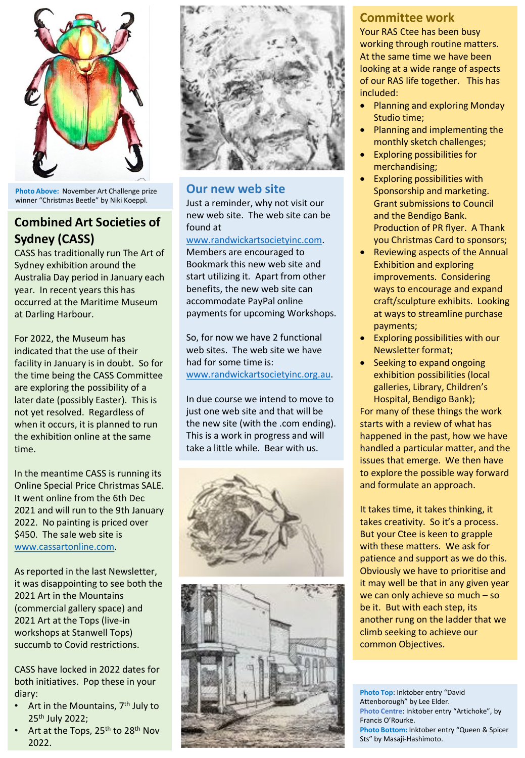

**Photo Above:** November Art Challenge prize winner "Christmas Beetle" by Niki Koeppl.

# **Combined Art Societies of Sydney (CASS)**

CASS has traditionally run The Art of Sydney exhibition around the Australia Day period in January each year. In recent years this has occurred at the Maritime Museum at Darling Harbour.

For 2022, the Museum has indicated that the use of their facility in January is in doubt. So for the time being the CASS Committee are exploring the possibility of a later date (possibly Easter). This is not yet resolved. Regardless of when it occurs, it is planned to run the exhibition online at the same time.

In the meantime CASS is running its Online Special Price Christmas SALE. It went online from the 6th Dec 2021 and will run to the 9th January 2022. No painting is priced over \$450. The sale web site is [www.cassartonline.com.](http://www.cassartonline.com/)

As reported in the last Newsletter, it was disappointing to see both the 2021 Art in the Mountains (commercial gallery space) and 2021 Art at the Tops (live-in workshops at Stanwell Tops) succumb to Covid restrictions.

CASS have locked in 2022 dates for both initiatives. Pop these in your diary:

- Art in the Mountains, 7<sup>th</sup> July to 25th July 2022;
- Art at the Tops, 25<sup>th</sup> to 28<sup>th</sup> Nov 2022.



#### **Our new web site**

Just a reminder, why not visit our new web site. The web site can be found at

[www.randwickartsocietyinc.com](http://www.randwickartsocietyinc.com/).

Members are encouraged to Bookmark this new web site and start utilizing it. Apart from other benefits, the new web site can accommodate PayPal online payments for upcoming Workshops.

So, for now we have 2 functional web sites. The web site we have had for some time is: [www.randwickartsocietyinc.org.au](http://www.randwickartsocietyinc.org.au/).

In due course we intend to move to just one web site and that will be the new site (with the .com ending). This is a work in progress and will take a little while. Bear with us.





## **Committee work**

Your RAS Ctee has been busy working through routine matters. At the same time we have been looking at a wide range of aspects of our RAS life together. This has included:

- Planning and exploring Monday Studio time;
- Planning and implementing the monthly sketch challenges;
- Exploring possibilities for merchandising;
- Exploring possibilities with Sponsorship and marketing. Grant submissions to Council and the Bendigo Bank. Production of PR flyer. A Thank you Christmas Card to sponsors;
- Reviewing aspects of the Annual Exhibition and exploring improvements. Considering ways to encourage and expand craft/sculpture exhibits. Looking at ways to streamline purchase payments;
- Exploring possibilities with our Newsletter format;
- Seeking to expand ongoing exhibition possibilities (local galleries, Library, Children's Hospital, Bendigo Bank);

For many of these things the work starts with a review of what has happened in the past, how we have handled a particular matter, and the issues that emerge. We then have to explore the possible way forward and formulate an approach.

It takes time, it takes thinking, it takes creativity. So it's a process. But your Ctee is keen to grapple with these matters. We ask for patience and support as we do this. Obviously we have to prioritise and it may well be that in any given year we can only achieve so much – so be it. But with each step, its another rung on the ladder that we climb seeking to achieve our common Objectives.

**Photo Top**: Inktober entry "David Attenborough" by Lee Elder. **Photo Centre**: Inktober entry "Artichoke", by Francis O'Rourke. **Photo Bottom:** Inktober entry "Queen & Spicer Sts" by Masaji-Hashimoto.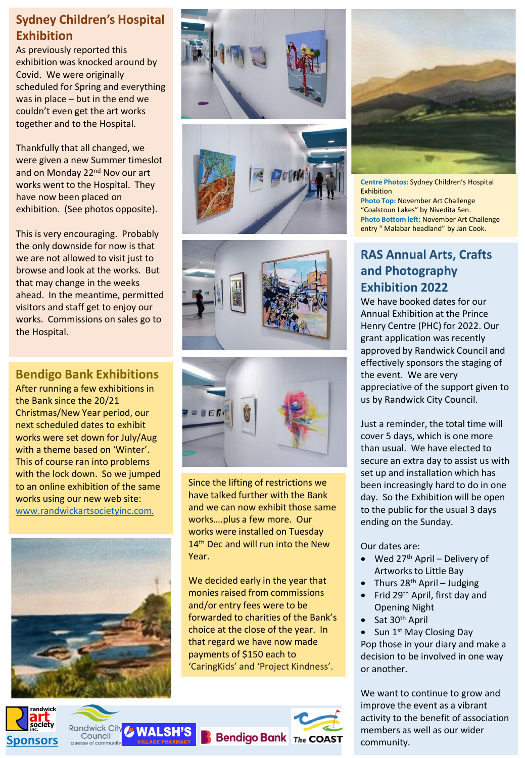# **Sydney Children's Hospital Exhibition**

As previously reported this exhibition was knocked around by Covid. We were originally scheduled for Spring and everything was in place – but in the end we couldn't even get the art works together and to the Hospital.

Thankfully that all changed, we were given a new Summer timeslot and on Monday 22<sup>nd</sup> Nov our art works went to the Hospital. They have now been placed on exhibition. (See photos opposite).

This is very encouraging. Probably the only downside for now is that we are not allowed to visit just to browse and look at the works. But that may change in the weeks ahead. In the meantime, permitted visitors and staff get to enjoy our works. Commissions on sales go to the Hospital.

# **Bendigo Bank Exhibitions**

After running a few exhibitions in the Bank since the 20/21 Christmas/New Year period, our next scheduled dates to exhibit works were set down for July/Aug with a theme based on 'Winter'. This of course ran into problems with the lock down. So we jumped to an online exhibition of the same works using our new web site: [www.randwickartsocietyinc.com.](http://www.randwickartsocietyinc.com/)



**Randwick City** 

Council

*C* WALSH'S

**Sponsors**

andwick









Since the lifting of restrictions we have talked further with the Bank and we can now exhibit those same works….plus a few more. Our works were installed on Tuesday 14<sup>th</sup> Dec and will run into the New Year.

We decided early in the year that monies raised from commissions and/or entry fees were to be forwarded to charities of the Bank's choice at the close of the year. In that regard we have now made payments of \$150 each to 'CaringKids' and 'Project Kindness'.

**Bendigo Bank** The COAST



**Centre Photos:** Sydney Children's Hospital Exhibition **Photo Top:** November Art Challenge "Coalstoun Lakes" by Nivedita Sen. **Photo Bottom left:** November Art Challenge entry " Malabar headland" by Jan Cook.

# **RAS Annual Arts, Crafts and Photography Exhibition 2022**

We have booked dates for our Annual Exhibition at the Prince Henry Centre (PHC) for 2022. Our grant application was recently approved by Randwick Council and effectively sponsors the staging of the event. We are very appreciative of the support given to us by Randwick City Council.

Just a reminder, the total time will cover 5 days, which is one more than usual. We have elected to secure an extra day to assist us with set up and installation which has been increasingly hard to do in one day. So the Exhibition will be open to the public for the usual 3 days ending on the Sunday.

Our dates are:

- Wed  $27<sup>th</sup>$  April Delivery of Artworks to Little Bay
- Thurs  $28<sup>th</sup>$  April Judging
- Frid 29th April, first day and Opening Night
- Sat 30<sup>th</sup> April

Sun 1<sup>st</sup> May Closing Day Pop those in your diary and make a decision to be involved in one way or another.

We want to continue to grow and improve the event as a vibrant activity to the benefit of association members as well as our wider community.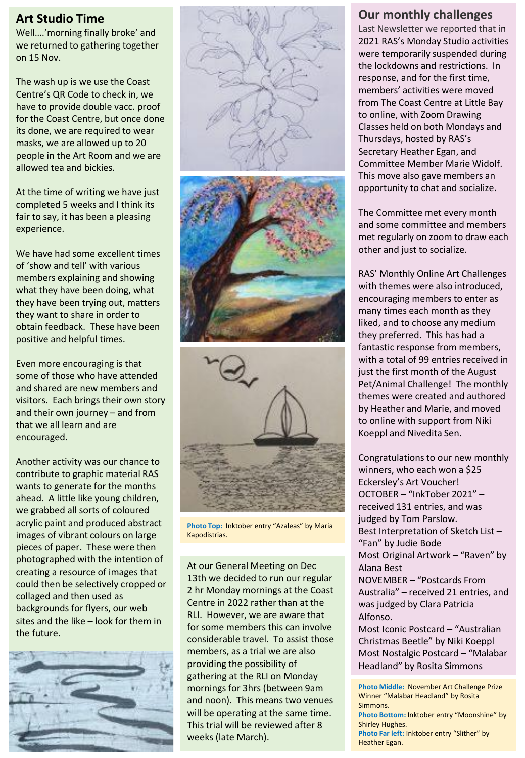### **Art Studio Time**

Well….'morning finally broke' and we returned to gathering together on 15 Nov.

The wash up is we use the Coast Centre's QR Code to check in, we have to provide double vacc. proof for the Coast Centre, but once done its done, we are required to wear masks, we are allowed up to 20 people in the Art Room and we are allowed tea and bickies.

At the time of writing we have just completed 5 weeks and I think its fair to say, it has been a pleasing experience.

We have had some excellent times of 'show and tell' with various members explaining and showing what they have been doing, what they have been trying out, matters they want to share in order to obtain feedback. These have been positive and helpful times.

Even more encouraging is that some of those who have attended and shared are new members and visitors. Each brings their own story and their own journey – and from that we all learn and are encouraged.

Another activity was our chance to contribute to graphic material RAS wants to generate for the months ahead. A little like young children, we grabbed all sorts of coloured acrylic paint and produced abstract images of vibrant colours on large pieces of paper. These were then photographed with the intention of creating a resource of images that could then be selectively cropped or collaged and then used as backgrounds for flyers, our web sites and the like – look for them in the future.







**Photo Top:** Inktober entry "Azaleas" by Maria Kapodistrias.

At our General Meeting on Dec 13th we decided to run our regular 2 hr Monday mornings at the Coast Centre in 2022 rather than at the RLI. However, we are aware that for some members this can involve considerable travel. To assist those members, as a trial we are also providing the possibility of gathering at the RLI on Monday mornings for 3hrs (between 9am and noon). This means two venues will be operating at the same time. This trial will be reviewed after 8 weeks (late March).

## **Our monthly challenges**

Last Newsletter we reported that in 2021 RAS's Monday Studio activities were temporarily suspended during the lockdowns and restrictions. In response, and for the first time, members' activities were moved from The Coast Centre at Little Bay to online, with Zoom Drawing Classes held on both Mondays and Thursdays, hosted by RAS's Secretary Heather Egan, and Committee Member Marie Widolf. This move also gave members an opportunity to chat and socialize.

The Committee met every month and some committee and members met regularly on zoom to draw each other and just to socialize.

RAS' Monthly Online Art Challenges with themes were also introduced, encouraging members to enter as many times each month as they liked, and to choose any medium they preferred. This has had a fantastic response from members, with a total of 99 entries received in just the first month of the August Pet/Animal Challenge! The monthly themes were created and authored by Heather and Marie, and moved to online with support from Niki Koeppl and Nivedita Sen.

Congratulations to our new monthly winners, who each won a \$25 Eckersley's Art Voucher! OCTOBER – "InkTober 2021" – received 131 entries, and was judged by Tom Parslow. Best Interpretation of Sketch List – "Fan" by Judie Bode Most Original Artwork – "Raven" by Alana Best NOVEMBER – "Postcards From Australia" – received 21 entries, and was judged by Clara Patricia Alfonso. Most Iconic Postcard – "Australian

Christmas Beetle" by Niki Koeppl Most Nostalgic Postcard – "Malabar Headland" by Rosita Simmons

**Photo Middle:** November Art Challenge Prize Winner "Malabar Headland" by Rosita **Simmons Photo Bottom:** Inktober entry "Moonshine" by Shirley Hughes.

**Photo Far left:** Inktober entry "Slither" by Heather Egan.